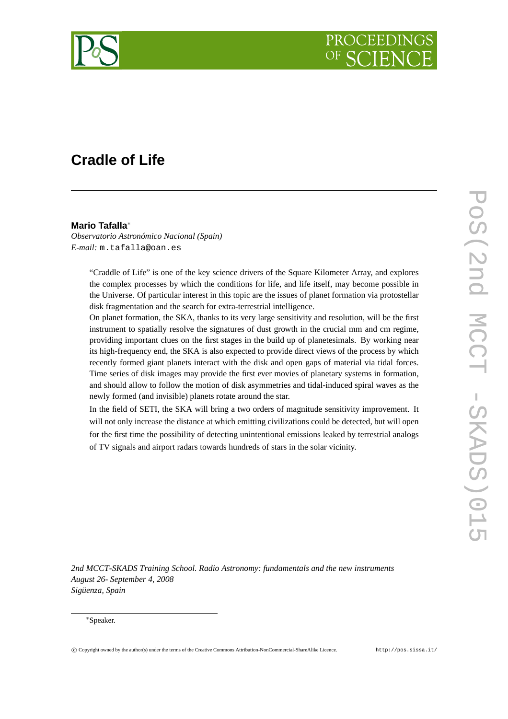

# **Cradle of Life**

## **Mario Tafalla**<sup>∗</sup>

*Observatorio Astronómico Nacional (Spain) E-mail:* m.tafalla@oan.es

> "Craddle of Life" is one of the key science drivers of the Square Kilometer Array, and explores the complex processes by which the conditions for life, and life itself, may become possible in the Universe. Of particular interest in this topic are the issues of planet formation via protostellar disk fragmentation and the search for extra-terrestrial intelligence.

> On planet formation, the SKA, thanks to its very large sensitivity and resolution, will be the first instrument to spatially resolve the signatures of dust growth in the crucial mm and cm regime, providing important clues on the first stages in the build up of planetesimals. By working near its high-frequency end, the SKA is also expected to provide direct views of the process by which recently formed giant planets interact with the disk and open gaps of material via tidal forces. Time series of disk images may provide the first ever movies of planetary systems in formation, and should allow to follow the motion of disk asymmetries and tidal-induced spiral waves as the newly formed (and invisible) planets rotate around the star.

> In the field of SETI, the SKA will bring a two orders of magnitude sensitivity improvement. It will not only increase the distance at which emitting civilizations could be detected, but will open for the first time the possibility of detecting unintentional emissions leaked by terrestrial analogs of TV signals and airport radars towards hundreds of stars in the solar vicinity.

*2nd MCCT-SKADS Training School. Radio Astronomy: fundamentals and the new instruments August 26- September 4, 2008 Sigüenza, Spain*

#### <sup>∗</sup>Speaker.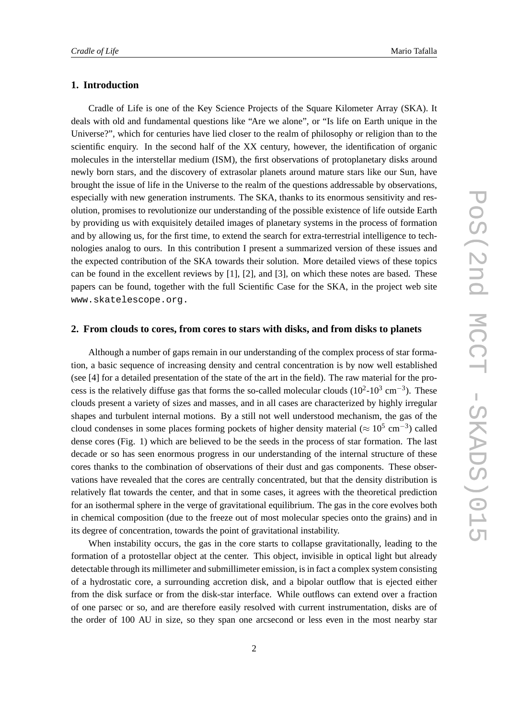### **1. Introduction**

Cradle of Life is one of the Key Science Projects of the Square Kilometer Array (SKA). It deals with old and fundamental questions like "Are we alone", or "Is life on Earth unique in the Universe?", which for centuries have lied closer to the realm of philosophy or religion than to the scientific enquiry. In the second half of the XX century, however, the identification of organic molecules in the interstellar medium (ISM), the first observations of protoplanetary disks around newly born stars, and the discovery of extrasolar planets around mature stars like our Sun, have brought the issue of life in the Universe to the realm of the questions addressable by observations, especially with new generation instruments. The SKA, thanks to its enormous sensitivity and resolution, promises to revolutionize our understanding of the possible existence of life outside Earth by providing us with exquisitely detailed images of planetary systems in the process of formation and by allowing us, for the first time, to extend the search for extra-terrestrial intelligence to technologies analog to ours. In this contribution I present a summarized version of these issues and the expected contribution of the SKA towards their solution. More detailed views of these topics can be found in the excellent reviews by [1], [2], and [3], on which these notes are based. These papers can be found, together with the full Scientific Case for the SKA, in the project web site www.skatelescope.org.

#### **2. From clouds to cores, from cores to stars with disks, and from disks to planets**

Although a number of gaps remain in our understanding of the complex process of star formation, a basic sequence of increasing density and central concentration is by now well established (see [4] for a detailed presentation of the state of the art in the field). The raw material for the process is the relatively diffuse gas that forms the so-called molecular clouds  $(10^2 \text{-} 10^3 \text{ cm}^{-3})$ . These clouds present a variety of sizes and masses, and in all cases are characterized by highly irregular shapes and turbulent internal motions. By a still not well understood mechanism, the gas of the cloud condenses in some places forming pockets of higher density material ( $\approx 10^5$  cm<sup>-3</sup>) called dense cores (Fig. 1) which are believed to be the seeds in the process of star formation. The last decade or so has seen enormous progress in our understanding of the internal structure of these cores thanks to the combination of observations of their dust and gas components. These observations have revealed that the cores are centrally concentrated, but that the density distribution is relatively flat towards the center, and that in some cases, it agrees with the theoretical prediction for an isothermal sphere in the verge of gravitational equilibrium. The gas in the core evolves both in chemical composition (due to the freeze out of most molecular species onto the grains) and in its degree of concentration, towards the point of gravitational instability.

When instability occurs, the gas in the core starts to collapse gravitationally, leading to the formation of a protostellar object at the center. This object, invisible in optical light but already detectable through its millimeter and submillimeter emission, is in fact a complex system consisting of a hydrostatic core, a surrounding accretion disk, and a bipolar outflow that is ejected either from the disk surface or from the disk-star interface. While outflows can extend over a fraction of one parsec or so, and are therefore easily resolved with current instrumentation, disks are of the order of 100 AU in size, so they span one arcsecond or less even in the most nearby star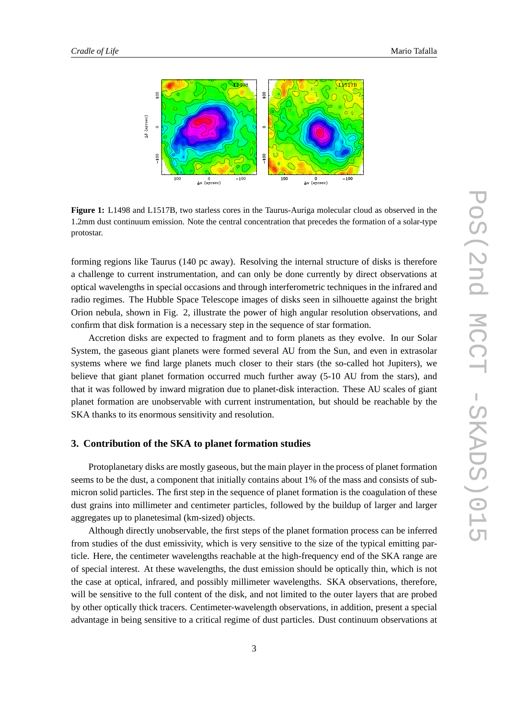

**Figure 1:** L1498 and L1517B, two starless cores in the Taurus-Auriga molecular cloud as observed in the 1.2mm dust continuum emission. Note the central concentration that precedes the formation of a solar-type protostar.

forming regions like Taurus (140 pc away). Resolving the internal structure of disks is therefore a challenge to current instrumentation, and can only be done currently by direct observations at optical wavelengths in special occasions and through interferometric techniques in the infrared and radio regimes. The Hubble Space Telescope images of disks seen in silhouette against the bright Orion nebula, shown in Fig. 2, illustrate the power of high angular resolution observations, and confirm that disk formation is a necessary step in the sequence of star formation.

Accretion disks are expected to fragment and to form planets as they evolve. In our Solar System, the gaseous giant planets were formed several AU from the Sun, and even in extrasolar systems where we find large planets much closer to their stars (the so-called hot Jupiters), we believe that giant planet formation occurred much further away (5-10 AU from the stars), and that it was followed by inward migration due to planet-disk interaction. These AU scales of giant planet formation are unobservable with current instrumentation, but should be reachable by the SKA thanks to its enormous sensitivity and resolution.

## **3. Contribution of the SKA to planet formation studies**

Protoplanetary disks are mostly gaseous, but the main player in the process of planet formation seems to be the dust, a component that initially contains about 1% of the mass and consists of submicron solid particles. The first step in the sequence of planet formation is the coagulation of these dust grains into millimeter and centimeter particles, followed by the buildup of larger and larger aggregates up to planetesimal (km-sized) objects.

Although directly unobservable, the first steps of the planet formation process can be inferred from studies of the dust emissivity, which is very sensitive to the size of the typical emitting particle. Here, the centimeter wavelengths reachable at the high-frequency end of the SKA range are of special interest. At these wavelengths, the dust emission should be optically thin, which is not the case at optical, infrared, and possibly millimeter wavelengths. SKA observations, therefore, will be sensitive to the full content of the disk, and not limited to the outer layers that are probed by other optically thick tracers. Centimeter-wavelength observations, in addition, present a special advantage in being sensitive to a critical regime of dust particles. Dust continuum observations at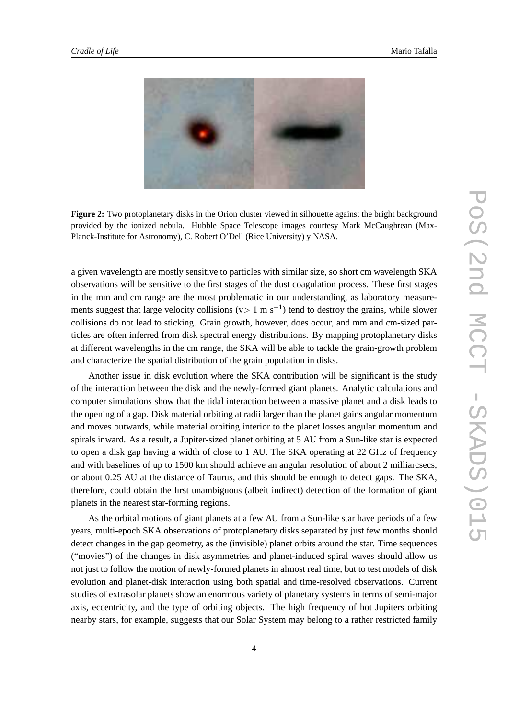

**Figure 2:** Two protoplanetary disks in the Orion cluster viewed in silhouette against the bright background provided by the ionized nebula. Hubble Space Telescope images courtesy Mark McCaughrean (Max-Planck-Institute for Astronomy), C. Robert O'Dell (Rice University) y NASA.

a given wavelength are mostly sensitive to particles with similar size, so short cm wavelength SKA observations will be sensitive to the first stages of the dust coagulation process. These first stages in the mm and cm range are the most problematic in our understanding, as laboratory measurements suggest that large velocity collisions ( $v>1$  m s<sup>-1</sup>) tend to destroy the grains, while slower collisions do not lead to sticking. Grain growth, however, does occur, and mm and cm-sized particles are often inferred from disk spectral energy distributions. By mapping protoplanetary disks at different wavelengths in the cm range, the SKA will be able to tackle the grain-growth problem and characterize the spatial distribution of the grain population in disks.

Another issue in disk evolution where the SKA contribution will be significant is the study of the interaction between the disk and the newly-formed giant planets. Analytic calculations and computer simulations show that the tidal interaction between a massive planet and a disk leads to the opening of a gap. Disk material orbiting at radii larger than the planet gains angular momentum and moves outwards, while material orbiting interior to the planet losses angular momentum and spirals inward. As a result, a Jupiter-sized planet orbiting at 5 AU from a Sun-like star is expected to open a disk gap having a width of close to 1 AU. The SKA operating at 22 GHz of frequency and with baselines of up to 1500 km should achieve an angular resolution of about 2 milliarcsecs, or about 0.25 AU at the distance of Taurus, and this should be enough to detect gaps. The SKA, therefore, could obtain the first unambiguous (albeit indirect) detection of the formation of giant planets in the nearest star-forming regions.

As the orbital motions of giant planets at a few AU from a Sun-like star have periods of a few years, multi-epoch SKA observations of protoplanetary disks separated by just few months should detect changes in the gap geometry, as the (invisible) planet orbits around the star. Time sequences ("movies") of the changes in disk asymmetries and planet-induced spiral waves should allow us not just to follow the motion of newly-formed planets in almost real time, but to test models of disk evolution and planet-disk interaction using both spatial and time-resolved observations. Current studies of extrasolar planets show an enormous variety of planetary systems in terms of semi-major axis, eccentricity, and the type of orbiting objects. The high frequency of hot Jupiters orbiting nearby stars, for example, suggests that our Solar System may belong to a rather restricted family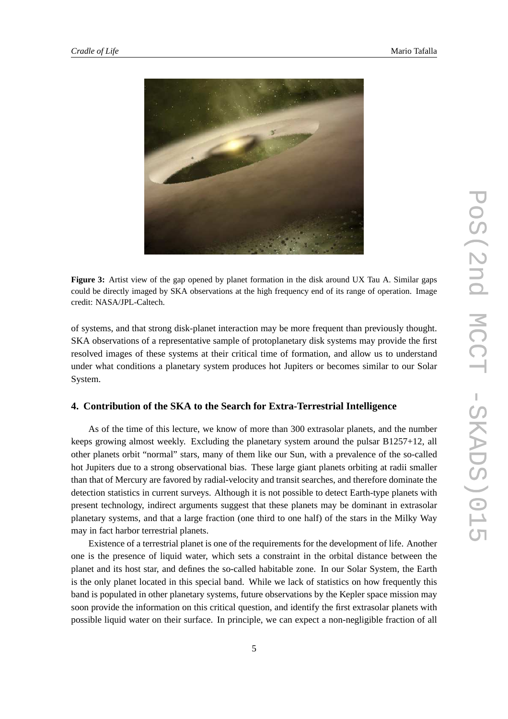

**Figure 3:** Artist view of the gap opened by planet formation in the disk around UX Tau A. Similar gaps could be directly imaged by SKA observations at the high frequency end of its range of operation. Image credit: NASA/JPL-Caltech.

of systems, and that strong disk-planet interaction may be more frequent than previously thought. SKA observations of a representative sample of protoplanetary disk systems may provide the first resolved images of these systems at their critical time of formation, and allow us to understand under what conditions a planetary system produces hot Jupiters or becomes similar to our Solar System.

## **4. Contribution of the SKA to the Search for Extra-Terrestrial Intelligence**

As of the time of this lecture, we know of more than 300 extrasolar planets, and the number keeps growing almost weekly. Excluding the planetary system around the pulsar B1257+12, all other planets orbit "normal" stars, many of them like our Sun, with a prevalence of the so-called hot Jupiters due to a strong observational bias. These large giant planets orbiting at radii smaller than that of Mercury are favored by radial-velocity and transit searches, and therefore dominate the detection statistics in current surveys. Although it is not possible to detect Earth-type planets with present technology, indirect arguments suggest that these planets may be dominant in extrasolar planetary systems, and that a large fraction (one third to one half) of the stars in the Milky Way may in fact harbor terrestrial planets.

Existence of a terrestrial planet is one of the requirements for the development of life. Another one is the presence of liquid water, which sets a constraint in the orbital distance between the planet and its host star, and defines the so-called habitable zone. In our Solar System, the Earth is the only planet located in this special band. While we lack of statistics on how frequently this band is populated in other planetary systems, future observations by the Kepler space mission may soon provide the information on this critical question, and identify the first extrasolar planets with possible liquid water on their surface. In principle, we can expect a non-negligible fraction of all